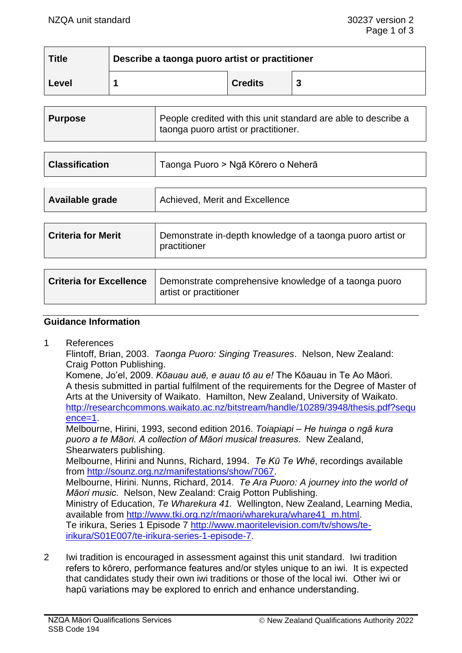| <b>Title</b> | Describe a taonga puoro artist or practitioner |                |  |
|--------------|------------------------------------------------|----------------|--|
| Level        |                                                | <b>Credits</b> |  |

| <b>Purpose</b> | People credited with this unit standard are able to describe a<br>taonga puoro artist or practitioner. |
|----------------|--------------------------------------------------------------------------------------------------------|
|                |                                                                                                        |

|  | <b>Classification</b> | Taonga Puoro > Ngā Kōrero o Neherā |
|--|-----------------------|------------------------------------|
|--|-----------------------|------------------------------------|

| Available grade | Achieved, Merit and Excellence |
|-----------------|--------------------------------|
|                 |                                |
|                 |                                |

| <b>Criteria for Merit</b> | Demonstrate in-depth knowledge of a taonga puoro artist or<br>practitioner |
|---------------------------|----------------------------------------------------------------------------|
|                           |                                                                            |
|                           |                                                                            |

| <b>Criteria for Excellence</b>   Demonstrate comprehensive knowledge of a taonga puoro |  |
|----------------------------------------------------------------------------------------|--|
| artist or practitioner                                                                 |  |

### **Guidance Information**

1 References

Flintoff, Brian, 2003. *Taonga Puoro: Singing Treasures*. Nelson, New Zealand: Craig Potton Publishing.

Komene, Jo'el, 2009. *Kōauau auē, e auau tō au e!* The Kōauau in Te Ao Māori. A thesis submitted in partial fulfilment of the requirements for the Degree of Master of Arts at the University of Waikato. Hamilton, New Zealand, University of Waikato. [http://researchcommons.waikato.ac.nz/bitstream/handle/10289/3948/thesis.pdf?sequ](http://researchcommons.waikato.ac.nz/bitstream/handle/10289/3948/thesis.pdf?sequence=1) [ence=1.](http://researchcommons.waikato.ac.nz/bitstream/handle/10289/3948/thesis.pdf?sequence=1)

Melbourne, Hirini, 1993, second edition 2016. *Toiapiapi – He huinga o ngā kura puoro a te Māori. A collection of Māori musical treasures*. New Zealand, Shearwaters publishing.

Melbourne, Hirini and Nunns, Richard, 1994. *Te Kū Te Whē*, recordings available from [http://sounz.org.nz/manifestations/show/7067.](http://sounz.org.nz/manifestations/show/7067)

Melbourne, Hirini. Nunns, Richard, 2014. *Te Ara Puoro: A journey into the world of Māori music*. Nelson, New Zealand: Craig Potton Publishing.

Ministry of Education, *Te Wharekura 41.* Wellington, New Zealand, Learning Media, available from [http://www.tki.org.nz/r/maori/wharekura/whare41\\_m.html.](http://www.tki.org.nz/r/maori/wharekura/whare41_m.html) Te irikura, Series 1 Episode 7 [http://www.maoritelevision.com/tv/shows/te](http://www.maoritelevision.com/tv/shows/te-irikura/S01E007/te-irikura-series-1-episode-7)[irikura/S01E007/te-irikura-series-1-episode-7.](http://www.maoritelevision.com/tv/shows/te-irikura/S01E007/te-irikura-series-1-episode-7)

2 Iwi tradition is encouraged in assessment against this unit standard. Iwi tradition refers to kōrero, performance features and/or styles unique to an iwi. It is expected that candidates study their own iwi traditions or those of the local iwi. Other iwi or hapū variations may be explored to enrich and enhance understanding.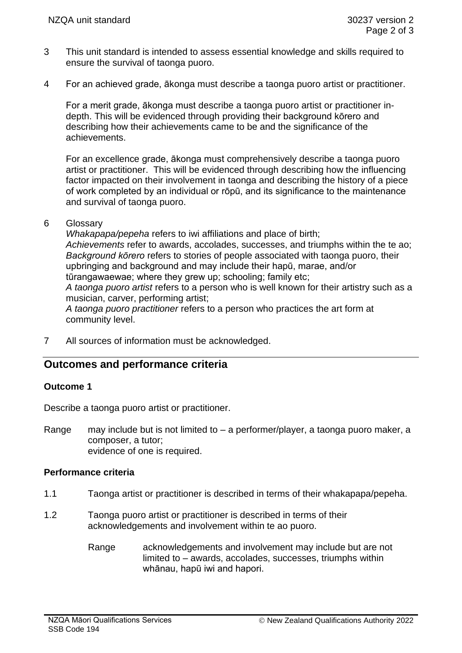- 3 This unit standard is intended to assess essential knowledge and skills required to ensure the survival of taonga puoro.
- 4 For an achieved grade, ākonga must describe a taonga puoro artist or practitioner.

For a merit grade, ākonga must describe a taonga puoro artist or practitioner indepth. This will be evidenced through providing their background kōrero and describing how their achievements came to be and the significance of the achievements.

For an excellence grade, ākonga must comprehensively describe a taonga puoro artist or practitioner. This will be evidenced through describing how the influencing factor impacted on their involvement in taonga and describing the history of a piece of work completed by an individual or rōpū, and its significance to the maintenance and survival of taonga puoro.

### 6 Glossary

*Whakapapa/pepeha* refers to iwi affiliations and place of birth; *Achievements* refer to awards, accolades, successes, and triumphs within the te ao; *Background kōrero* refers to stories of people associated with taonga puoro, their upbringing and background and may include their hapū, marae, and/or tūrangawaewae; where they grew up; schooling; family etc; *A taonga puoro artist* refers to a person who is well known for their artistry such as a

musician, carver, performing artist; *A taonga puoro practitioner* refers to a person who practices the art form at community level.

7 All sources of information must be acknowledged.

# **Outcomes and performance criteria**

### **Outcome 1**

Describe a taonga puoro artist or practitioner.

Range may include but is not limited to – a performer/player, a taonga puoro maker, a composer, a tutor; evidence of one is required.

#### **Performance criteria**

- 1.1 Taonga artist or practitioner is described in terms of their whakapapa/pepeha.
- 1.2 Taonga puoro artist or practitioner is described in terms of their acknowledgements and involvement within te ao puoro.
	- Range acknowledgements and involvement may include but are not limited to – awards, accolades, successes, triumphs within whānau, hapū iwi and hapori.